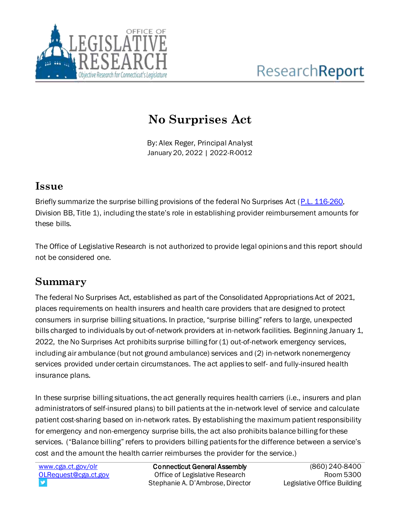

# **No Surprises Act**

By: Alex Reger, Principal Analyst January 20, 2022 | 2022-R-0012

#### **Issue**

Briefly summarize the surprise billing provisions of the federal No Surprises Act (P.L. [116-260,](https://www.congress.gov/bill/116th-congress/house-bill/133/text/pl)  Division BB, Title 1), including the state's role in establishing provider reimbursement amounts for these bills.

The Office of Legislative Research is not authorized to provide legal opinions and this report should not be considered one*.*

### **Summary**

The federal No Surprises Act, established as part of the Consolidated Appropriations Act of 2021, places requirements on health insurers and health care providers that are designed to protect consumers in surprise billing situations. In practice, "surprise billing" refers to large, unexpected bills charged to individuals by out-of-network providers at in-network facilities. Beginning January 1, 2022, the No Surprises Act prohibits surprise billing for (1) out-of-network emergency services, including air ambulance (but not ground ambulance) services and (2) in-network nonemergency services provided under certain circumstances. The act applies to self- and fully-insured health insurance plans.

In these surprise billing situations, the act generally requires health carriers (i.e., insurers and plan administrators of self-insured plans) to bill patients at the in-network level of service and calculate patient cost-sharing based on in-network rates. By establishing the maximum patient responsibility for emergency and non-emergency surprise bills, the act also prohibits balance billing for these services. ("Balance billing" refers to providers billing patients for the difference between a service's cost and the amount the health carrier reimburses the provider for the service.)

[www.cga.ct.gov/olr](http://www.cga.ct.gov/olr) [OLRequest@cga.ct.gov](mailto:OLRequest@cga.ct.gov)

Connecticut General Assembly Office of Legislative Research Stephanie A. D'Ambrose, Director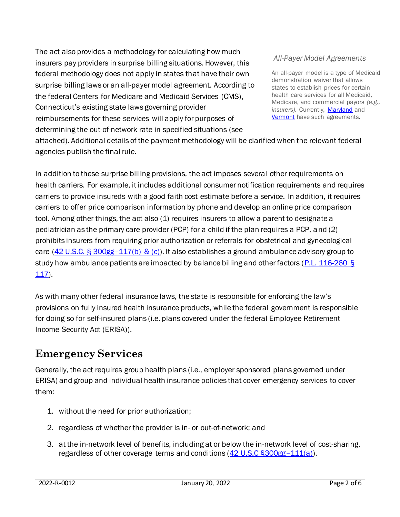The act also provides a methodology for calculating how much insurers pay providers in surprise billing situations. However, this federal methodology does not apply in states that have their own surprise billing laws or an all-payer model agreement. According to the federal Centers for Medicare and Medicaid Services (CMS), Connecticut's existing state laws governing provider reimbursements for these services will apply for purposes of determining the out-of-network rate in specified situations (see

#### *All-Payer Model Agreements*

An all-payer model is a type of Medicaid demonstration waiver that allows states to establish prices for certain health care services for all Medicaid, Medicare, and commercial payors *(e.g.,*  insurers). Currently, [Maryland](https://innovation.cms.gov/innovation-models/maryland-all-payer-model) and [Vermont](https://innovation.cms.gov/innovation-models/vermont-all-payer-aco-model) have such agreements.

attached). Additional details of the payment methodology will be clarified when the relevant federal agencies publish the final rule.

In addition to these surprise billing provisions, the act imposes several other requirements on health carriers. For example, it includes additional consumer notification requirements and requires carriers to provide insureds with a good faith cost estimate before a service. In addition, it requires carriers to offer price comparison information by phone and develop an online price comparison tool. Among other things, the act also (1) requires insurers to allow a parent to designate a pediatrician as the primary care provider (PCP) for a child if the plan requires a PCP, and (2) prohibits insurers from requiring prior authorization or referrals for obstetrical and gynecological care (42 U.S.C. § 300gg-[117\(b\) & \(c\)\)](https://uscode.house.gov/view.xhtml?req=granuleid%3AUSC-prelim-title42-chapter6A-subchapter25-partD&saved=%7CImluY2x1ZGVzIGEgaG9zcGl0YWwgb3V0cGF0aWVudCBkZXBhcnRtZW50IHRoYXQgcHJvdmlkZXMgZW1lcmdlbmN5IHNlcnZpY2VzIg%3D%3D%7CdHJlZXNvcnQ%3D%7CdHJ1ZQ%3D%3D%7C2%7Ctrue%7Cprelim&edition=prelim). It also establishes a ground ambulance advisory group to study how ambulance patients are impacted by balance billing and other factors [\(P.L. 116-260](https://www.congress.gov/bill/116th-congress/house-bill/133/text/pl) §  $117$ ).

As with many other federal insurance laws, the state is responsible for enforcing the law's provisions on fully insured health insurance products, while the federal government is responsible for doing so for self-insured plans (i.e. plans covered under the federal Employee Retirement Income Security Act (ERISA)).

### **Emergency Services**

Generally, the act requires group health plans (i.e., employer sponsored plans governed under ERISA) and group and individual health insurance policies that cover emergency services to cover them:

- 1. without the need for prior authorization;
- 2. regardless of whether the provider is in- or out-of-network; and
- 3. at the in-network level of benefits, including at or below the in-network level of cost-sharing, regardless of other coverage terms and conditions [\(42 U.S.C §300gg](https://uscode.house.gov/view.xhtml?req=granuleid%3AUSC-prelim-title42-chapter6A-subchapter25-partD&saved=%7CImluY2x1ZGVzIGEgaG9zcGl0YWwgb3V0cGF0aWVudCBkZXBhcnRtZW50IHRoYXQgcHJvdmlkZXMgZW1lcmdlbmN5IHNlcnZpY2VzIg%3D%3D%7CdHJlZXNvcnQ%3D%7CdHJ1ZQ%3D%3D%7C2%7Ctrue%7Cprelim&edition=prelim)–111(a)).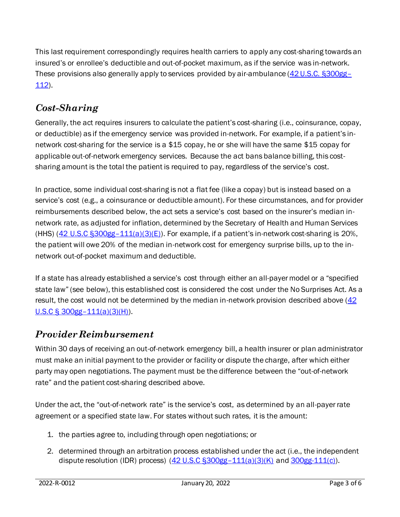This last requirement correspondingly requires health carriers to apply any cost-sharing towards an insured's or enrollee's deductible and out-of-pocket maximum, as if the service was in-network. These provisions also generally apply to services provided by air-ambulance [\(42 U.S.C. §300gg](https://uscode.house.gov/view.xhtml?req=granuleid%3AUSC-prelim-title42-chapter6A-subchapter25-partD&saved=%7CImluY2x1ZGVzIGEgaG9zcGl0YWwgb3V0cGF0aWVudCBkZXBhcnRtZW50IHRoYXQgcHJvdmlkZXMgZW1lcmdlbmN5IHNlcnZpY2VzIg%3D%3D%7CdHJlZXNvcnQ%3D%7CdHJ1ZQ%3D%3D%7C2%7Ctrue%7Cprelim&edition=prelim)– [112\)](https://uscode.house.gov/view.xhtml?req=granuleid%3AUSC-prelim-title42-chapter6A-subchapter25-partD&saved=%7CImluY2x1ZGVzIGEgaG9zcGl0YWwgb3V0cGF0aWVudCBkZXBhcnRtZW50IHRoYXQgcHJvdmlkZXMgZW1lcmdlbmN5IHNlcnZpY2VzIg%3D%3D%7CdHJlZXNvcnQ%3D%7CdHJ1ZQ%3D%3D%7C2%7Ctrue%7Cprelim&edition=prelim).

#### *Cost-Sharing*

Generally, the act requires insurers to calculate the patient's cost-sharing (i.e., coinsurance, copay, or deductible) as if the emergency service was provided in-network. For example, if a patient's innetwork cost-sharing for the service is a \$15 copay, he or she will have the same \$15 copay for applicable out-of-network emergency services. Because the act bans balance billing, this costsharing amount is the total the patient is required to pay, regardless of the service's cost.

In practice, some individual cost-sharing is not a flat fee (like a copay) but is instead based on a service's cost (e.g., a coinsurance or deductible amount). For these circumstances, and for provider reimbursements described below, the act sets a service's cost based on the insurer's median innetwork rate, as adjusted for inflation, determined by the Secretary of Health and Human Services (HHS)  $(42 \text{ U.S.C } $300gg-111(a)(3)(E))$ . For example, if a patient's in-network cost-sharing is 20%, the patient will owe 20% of the median in-network cost for emergency surprise bills, up to the innetwork out-of-pocket maximum and deductible.

If a state has already established a service's cost through either an all-payer model or a "specified state law" (see below), this established cost is considered the cost under the No Surprises Act. As a result, the cost would not be determined by the median in-network provision described above  $(42)$  $U.S.C \S$  300gg – [111\(a\)\(3\)\(H\)\)](https://uscode.house.gov/view.xhtml?req=granuleid%3AUSC-prelim-title42-chapter6A-subchapter25-partD&saved=%7CImluY2x1ZGVzIGEgaG9zcGl0YWwgb3V0cGF0aWVudCBkZXBhcnRtZW50IHRoYXQgcHJvdmlkZXMgZW1lcmdlbmN5IHNlcnZpY2VzIg%3D%3D%7CdHJlZXNvcnQ%3D%7CdHJ1ZQ%3D%3D%7C2%7Ctrue%7Cprelim&edition=prelim).

#### *Provider Reimbursement*

Within 30 days of receiving an out-of-network emergency bill, a health insurer or plan administrator must make an initial payment to the provider or facility or dispute the charge, after which either party may open negotiations. The payment must be the difference between the "out-of-network rate" and the patient cost-sharing described above.

Under the act, the "out-of-network rate" is the service's cost, as determined by an all-payer rate agreement or a specified state law. For states without such rates, it is the amount:

- 1. the parties agree to, including through open negotiations; or
- 2. determined through an arbitration process established under the act (i.e., the independent dispute resolution (IDR) process)  $(42 \text{ U.S.C } $300 \text{ gg} - 111 \text{ (a)} \text{ (3)} \text{ (K)}$  and  $300 \text{ gg} - 111 \text{ (c)}$ .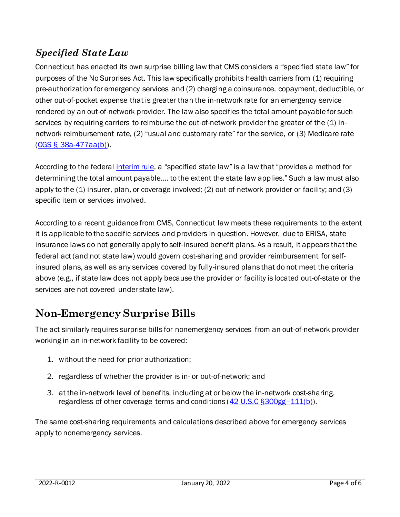#### *Specified State Law*

Connecticut has enacted its own surprise billing law that CMS considers a "specified state law" for purposes of the No Surprises Act. This law specifically prohibits health carriers from (1) requiring pre-authorization for emergency services and (2) charging a coinsurance, copayment, deductible, or other out-of-pocket expense that is greater than the in-network rate for an emergency service rendered by an out-of-network provider. The law also specifies the total amount payable for such services by requiring carriers to reimburse the out-of-network provider the greater of the (1) innetwork reimbursement rate, (2) "usual and customary rate" for the service, or (3) Medicare rate [\(CGS § 38a-477aa\(b\)\)](https://www.cga.ct.gov/current/pub/chap_700c.htm#sec_38a-477aa).

According to the federal [interim rule](https://www.federalregister.gov/documents/2021/07/13/2021-14379/requirements-related-to-surprise-billing-part-i), a "specified state law" is a law that "provides a method for determining the total amount payable…. to the extent the state law applies." Such a law must also apply to the (1) insurer, plan, or coverage involved; (2) out-of-network provider or facility; and (3) specific item or services involved.

According to a recent guidance from CMS, Connecticut law meets these requirements to the extent it is applicable to the specific services and providers in question. However, due to ERISA, state insurance laws do not generally apply to self-insured benefit plans. As a result, it appears that the federal act (and not state law) would govern cost-sharing and provider reimbursement for selfinsured plans, as well as any services covered by fully-insured plans that do not meet the criteria above (e.g., if state law does not apply because the provider or facility is located out-of-state or the services are not covered under state law).

## **Non-Emergency Surprise Bills**

The act similarly requires surprise bills for nonemergency services from an out-of-network provider working in an in-network facility to be covered:

- 1. without the need for prior authorization;
- 2. regardless of whether the provider is in- or out-of-network; and
- 3. at the in-network level of benefits, including at or below the in-network cost-sharing, regardless of other coverage terms and conditions [\(42 U.S.C §300gg](https://uscode.house.gov/view.xhtml?req=granuleid%3AUSC-prelim-title42-chapter6A-subchapter25-partD&saved=%7CImluY2x1ZGVzIGEgaG9zcGl0YWwgb3V0cGF0aWVudCBkZXBhcnRtZW50IHRoYXQgcHJvdmlkZXMgZW1lcmdlbmN5IHNlcnZpY2VzIg%3D%3D%7CdHJlZXNvcnQ%3D%7CdHJ1ZQ%3D%3D%7C2%7Ctrue%7Cprelim&edition=prelim)-111(b)).

The same cost-sharing requirements and calculations described above for emergency services apply to nonemergency services.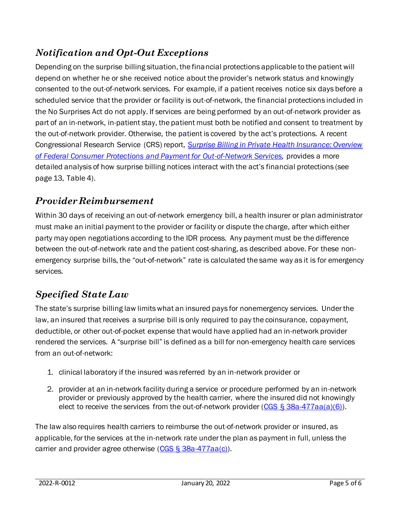### *Notification and Opt-Out Exceptions*

Depending on the surprise billing situation, the financial protections applicable to the patient will depend on whether he or she received notice about the provider's network status and knowingly consented to the out-of-network services. For example, if a patient receives notice six days before a scheduled service that the provider or facility is out-of-network, the financial protections included in the No Surprises Act do not apply. If services are being performed by an out-of-network provider as part of an in-network, in-patient stay, the patient must both be notified and consent to treatment by the out-of-network provider. Otherwise, the patient is covered by the act's protections. A recent Congressional Research Service (CRS) report, *[Surprise Billing in Private Health Insurance: Overview](https://crsreports.congress.gov/product/pdf/R/R46856)  [of Federal Consumer Protections and Payment for Out-of-Network Services,](https://crsreports.congress.gov/product/pdf/R/R46856)* provides a more detailed analysis of how surprise billing notices interact with the act's financial protections (see page 13, Table 4).

#### *Provider Reimbursement*

Within 30 days of receiving an out-of-network emergency bill, a health insurer or plan administrator must make an initial payment to the provider or facility or dispute the charge, after which either party may open negotiations according to the IDR process. Any payment must be the difference between the out-of-network rate and the patient cost-sharing, as described above. For these nonemergency surprise bills, the "out-of-network" rate is calculated the same way as it is for emergency services.

### *Specified State Law*

The state's surprise billing law limits what an insured pays for nonemergency services. Under the law, an insured that receives a surprise bill is only required to pay the coinsurance, copayment, deductible, or other out-of-pocket expense that would have applied had an in-network provider rendered the services. A "surprise bill" is defined as a bill for non-emergency health care services from an out-of-network:

- 1. clinical laboratory if the insured was referred by an in-network provider or
- 2. provider at an in-network facility during a service or procedure performed by an in-network provider or previously approved by the health carrier, where the insured did not knowingly elect to receive the services from the out-of-network provider (CGS  $\S$  38a-477aa(a)(6)).

The law also requires health carriers to reimburse the out-of-network provider or insured, as applicable, for the services at the in-network rate under the plan as payment in full, unless the carrier and provider agree otherwise [\(CGS § 38a-477aa\(c\)\)](https://www.cga.ct.gov/current/pub/chap_700c.htm#sec_38a-477aa).